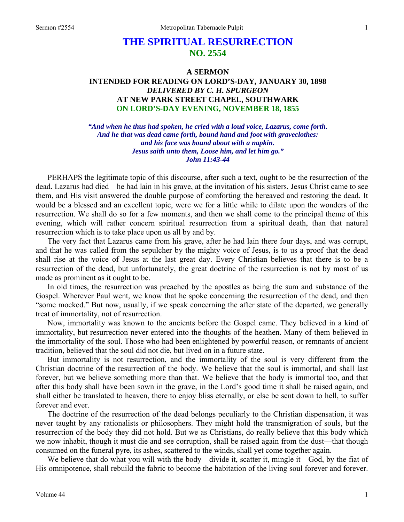## **THE SPIRITUAL RESURRECTION NO. 2554**

## **A SERMON INTENDED FOR READING ON LORD'S-DAY, JANUARY 30, 1898**  *DELIVERED BY C. H. SPURGEON*  **AT NEW PARK STREET CHAPEL, SOUTHWARK ON LORD'S-DAY EVENING, NOVEMBER 18, 1855**

*"And when he thus had spoken, he cried with a loud voice, Lazarus, come forth. And he that was dead came forth, bound hand and foot with graveclothes: and his face was bound about with a napkin. Jesus saith unto them, Loose him, and let him go." John 11:43-44* 

PERHAPS the legitimate topic of this discourse, after such a text, ought to be the resurrection of the dead. Lazarus had died—he had lain in his grave, at the invitation of his sisters, Jesus Christ came to see them, and His visit answered the double purpose of comforting the bereaved and restoring the dead. It would be a blessed and an excellent topic, were we for a little while to dilate upon the wonders of the resurrection. We shall do so for a few moments, and then we shall come to the principal theme of this evening, which will rather concern spiritual resurrection from a spiritual death, than that natural resurrection which is to take place upon us all by and by.

The very fact that Lazarus came from his grave, after he had lain there four days, and was corrupt, and that he was called from the sepulcher by the mighty voice of Jesus, is to us a proof that the dead shall rise at the voice of Jesus at the last great day. Every Christian believes that there is to be a resurrection of the dead, but unfortunately, the great doctrine of the resurrection is not by most of us made as prominent as it ought to be.

In old times, the resurrection was preached by the apostles as being the sum and substance of the Gospel. Wherever Paul went, we know that he spoke concerning the resurrection of the dead, and then "some mocked." But now, usually, if we speak concerning the after state of the departed, we generally treat of immortality, not of resurrection.

Now, immortality was known to the ancients before the Gospel came. They believed in a kind of immortality, but resurrection never entered into the thoughts of the heathen. Many of them believed in the immortality of the soul. Those who had been enlightened by powerful reason, or remnants of ancient tradition, believed that the soul did not die, but lived on in a future state.

But immortality is not resurrection, and the immortality of the soul is very different from the Christian doctrine of the resurrection of the body. We believe that the soul is immortal, and shall last forever, but we believe something more than that. We believe that the body is immortal too, and that after this body shall have been sown in the grave, in the Lord's good time it shall be raised again, and shall either be translated to heaven, there to enjoy bliss eternally, or else be sent down to hell, to suffer forever and ever.

The doctrine of the resurrection of the dead belongs peculiarly to the Christian dispensation, it was never taught by any rationalists or philosophers. They might hold the transmigration of souls, but the resurrection of the body they did not hold. But we as Christians, do really believe that this body which we now inhabit, though it must die and see corruption, shall be raised again from the dust—that though consumed on the funeral pyre, its ashes, scattered to the winds, shall yet come together again.

We believe that do what you will with the body—divide it, scatter it, mingle it—God, by the fiat of His omnipotence, shall rebuild the fabric to become the habitation of the living soul forever and forever.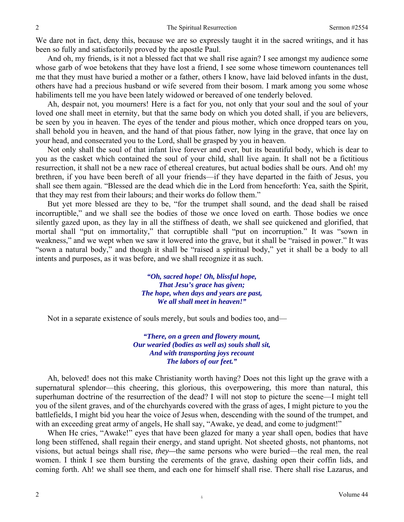We dare not in fact, deny this, because we are so expressly taught it in the sacred writings, and it has been so fully and satisfactorily proved by the apostle Paul.

And oh, my friends, is it not a blessed fact that we shall rise again? I see amongst my audience some whose garb of woe betokens that they have lost a friend, I see some whose timeworn countenances tell me that they must have buried a mother or a father, others I know, have laid beloved infants in the dust, others have had a precious husband or wife severed from their bosom. I mark among you some whose habiliments tell me you have been lately widowed or bereaved of one tenderly beloved.

Ah, despair not, you mourners! Here is a fact for you, not only that your soul and the soul of your loved one shall meet in eternity, but that the same body on which you doted shall, if you are believers, be seen by you in heaven. The eyes of the tender and pious mother, which once dropped tears on you, shall behold you in heaven, and the hand of that pious father, now lying in the grave, that once lay on your head, and consecrated you to the Lord, shall be grasped by you in heaven.

Not only shall the soul of that infant live forever and ever, but its beautiful body, which is dear to you as the casket which contained the soul of your child, shall live again. It shall not be a fictitious resurrection, it shall not be a new race of ethereal creatures, but actual bodies shall be ours. And oh! my brethren, if you have been bereft of all your friends—if they have departed in the faith of Jesus, you shall see them again. "Blessed are the dead which die in the Lord from henceforth: Yea, saith the Spirit, that they may rest from their labours; and their works do follow them."

But yet more blessed are they to be, "for the trumpet shall sound, and the dead shall be raised incorruptible," and we shall see the bodies of those we once loved on earth. Those bodies we once silently gazed upon, as they lay in all the stiffness of death, we shall see quickened and glorified, that mortal shall "put on immortality," that corruptible shall "put on incorruption." It was "sown in weakness," and we wept when we saw it lowered into the grave, but it shall be "raised in power." It was "sown a natural body," and though it shall be "raised a spiritual body," yet it shall be a body to all intents and purposes, as it was before, and we shall recognize it as such.

> *"Oh, sacred hope! Oh, blissful hope, That Jesu's grace has given; The hope, when days and years are past, We all shall meet in heaven!"*

Not in a separate existence of souls merely, but souls and bodies too, and—

*"There, on a green and flowery mount, Our wearied (bodies as well as) souls shall sit, And with transporting joys recount The labors of our feet."* 

Ah, beloved! does not this make Christianity worth having? Does not this light up the grave with a supernatural splendor—this cheering, this glorious, this overpowering, this more than natural, this superhuman doctrine of the resurrection of the dead? I will not stop to picture the scene—I might tell you of the silent graves, and of the churchyards covered with the grass of ages, I might picture to you the battlefields, I might bid you hear the voice of Jesus when, descending with the sound of the trumpet, and with an exceeding great army of angels, He shall say, "Awake, ye dead, and come to judgment!"

When He cries, "Awake!" eyes that have been glazed for many a year shall open, bodies that have long been stiffened, shall regain their energy, and stand upright. Not sheeted ghosts, not phantoms, not visions, but actual beings shall rise, *they—*the same persons who were buried—the real men, the real women. I think I see them bursting the cerements of the grave, dashing open their coffin lids, and coming forth. Ah! we shall see them, and each one for himself shall rise. There shall rise Lazarus, and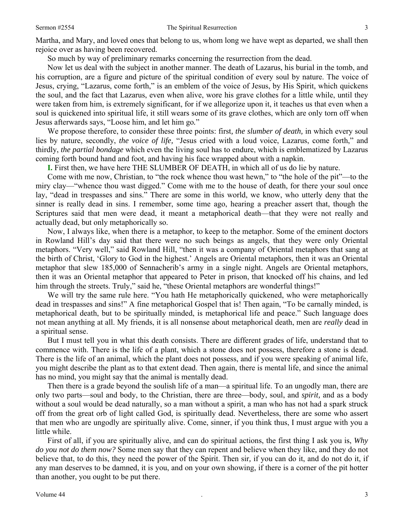Martha, and Mary, and loved ones that belong to us, whom long we have wept as departed, we shall then rejoice over as having been recovered.

So much by way of preliminary remarks concerning the resurrection from the dead.

Now let us deal with the subject in another manner. The death of Lazarus, his burial in the tomb, and his corruption, are a figure and picture of the spiritual condition of every soul by nature. The voice of Jesus, crying, "Lazarus, come forth," is an emblem of the voice of Jesus, by His Spirit, which quickens the soul, and the fact that Lazarus, even when alive, wore his grave clothes for a little while, until they were taken from him, is extremely significant, for if we allegorize upon it, it teaches us that even when a soul is quickened into spiritual life, it still wears some of its grave clothes, which are only torn off when Jesus afterwards says, "Loose him, and let him go*.*"

We propose therefore, to consider these three points: first*, the slumber of death,* in which every soul lies by nature, secondly, *the voice of life,* "Jesus cried with a loud voice, Lazarus, come forth," and thirdly, *the partial bondage* which even the living soul has to endure, which is emblematized by Lazarus coming forth bound hand and foot, and having his face wrapped about with a napkin.

**I.** First then, we have here THE SLUMBER OF DEATH, in which all of us do lie by nature.

Come with me now, Christian, to "the rock whence thou wast hewn," to "the hole of the pit"—to the miry clay—"whence thou wast digged." Come with me to the house of death, for there your soul once lay, "dead in trespasses and sins." There are some in this world, we know, who utterly deny that the sinner is really dead in sins. I remember, some time ago, hearing a preacher assert that, though the Scriptures said that men were dead, it meant a metaphorical death—that they were not really and actually dead, but only metaphorically so.

Now, I always like, when there is a metaphor, to keep to the metaphor. Some of the eminent doctors in Rowland Hill's day said that there were no such beings as angels, that they were only Oriental metaphors. "Very well," said Rowland Hill, "then it was a company of Oriental metaphors that sang at the birth of Christ, 'Glory to God in the highest.' Angels are Oriental metaphors, then it was an Oriental metaphor that slew 185,000 of Sennacherib's army in a single night. Angels are Oriental metaphors, then it was an Oriental metaphor that appeared to Peter in prison, that knocked off his chains, and led him through the streets. Truly," said he, "these Oriental metaphors are wonderful things!"

We will try the same rule here. "You hath He metaphorically quickened, who were metaphorically dead in trespasses and sins!" A fine metaphorical Gospel that is! Then again, "To be carnally minded, is metaphorical death, but to be spiritually minded, is metaphorical life and peace." Such language does not mean anything at all. My friends, it is all nonsense about metaphorical death, men are *really* dead in a spiritual sense.

But I must tell you in what this death consists. There are different grades of life, understand that to commence with. There is the life of a plant, which a stone does not possess, therefore a stone is dead. There is the life of an animal, which the plant does not possess, and if you were speaking of animal life, you might describe the plant as to that extent dead. Then again, there is mental life, and since the animal has no mind, you might say that the animal is mentally dead.

Then there is a grade beyond the soulish life of a man—a spiritual life. To an ungodly man, there are only two parts—soul and body, to the Christian, there are three—body, soul, and *spirit,* and as a body without a soul would be dead naturally, so a man without a spirit, a man who has not had a spark struck off from the great orb of light called God, is spiritually dead. Nevertheless, there are some who assert that men who are ungodly are spiritually alive. Come, sinner, if you think thus, I must argue with you a little while.

First of all, if you are spiritually alive, and can do spiritual actions, the first thing I ask you is, *Why do you not do them now?* Some men say that they can repent and believe when they like, and they do not believe that, to do this, they need the power of the Spirit. Then sir*,* if you can do it, and do not do it, if any man deserves to be damned, it is you, and on your own showing, if there is a corner of the pit hotter than another, you ought to be put there.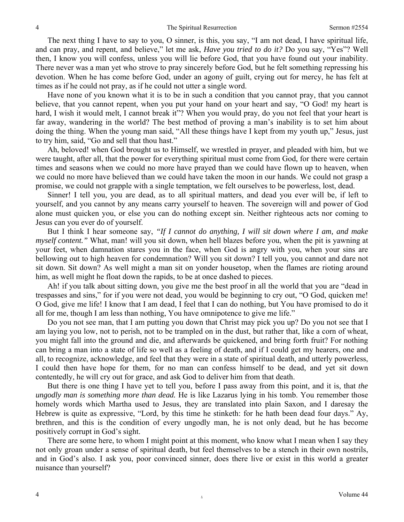The next thing I have to say to you, O sinner, is this, you say, "I am not dead, I have spiritual life, and can pray, and repent, and believe," let me ask, *Have you tried to do it?* Do you say, "Yes"? Well then, I know you will confess, unless you will lie before God, that you have found out your inability. There never was a man yet who strove to pray sincerely before God, but he felt something repressing his devotion. When he has come before God, under an agony of guilt, crying out for mercy, he has felt at times as if he could not pray, as if he could not utter a single word.

Have none of you known what it is to be in such a condition that you cannot pray, that you cannot believe, that you cannot repent, when you put your hand on your heart and say, "O God! my heart is hard, I wish it would melt, I cannot break it"? When you would pray, do you not feel that your heart is far away, wandering in the world? The best method of proving a man's inability is to set him about doing the thing. When the young man said, "All these things have I kept from my youth up," Jesus, just to try him, said, "Go and sell that thou hast."

Ah, beloved! when God brought us to Himself, we wrestled in prayer, and pleaded with him, but we were taught, after all, that the power for everything spiritual must come from God*,* for there were certain times and seasons when we could no more have prayed than we could have flown up to heaven, when we could no more have believed than we could have taken the moon in our hands. We could not grasp a promise, we could not grapple with a single temptation, we felt ourselves to be powerless, lost, dead.

Sinner! I tell you, you are dead, as to all spiritual matters, and dead you ever will be, if left to yourself, and you cannot by any means carry yourself to heaven. The sovereign will and power of God alone must quicken you, or else you can do nothing except sin. Neither righteous acts nor coming to Jesus can you ever do of yourself.

But I think I hear someone say, *"If I cannot do anything, I will sit down where I am, and make myself content."* What, man! will you sit down, when hell blazes before you, when the pit is yawning at your feet, when damnation stares you in the face, when God is angry with you, when your sins are bellowing out to high heaven for condemnation? Will you sit down? I tell you, you cannot and dare not sit down. Sit down? As well might a man sit on yonder housetop, when the flames are rioting around him, as well might he float down the rapids, to be at once dashed to pieces.

Ah! if you talk about sitting down, you give me the best proof in all the world that you are "dead in trespasses and sins," for if you were not dead, you would be beginning to cry out, "O God, quicken me! O God, give me life! I know that I am dead, I feel that I can do nothing, but You have promised to do it all for me, though I am less than nothing, You have omnipotence to give me life."

Do you not see man, that I am putting you down that Christ may pick you up? Do you not see that I am laying you low, not to perish, not to be trampled on in the dust, but rather that, like a corn of wheat, you might fall into the ground and die, and afterwards be quickened, and bring forth fruit? For nothing can bring a man into a state of life so well as a feeling of death, and if I could get my hearers, one and all, to recognize, acknowledge, and feel that they were in a state of spiritual death, and utterly powerless, I could then have hope for them, for no man can confess himself to be dead, and yet sit down contentedly, he will cry out for grace, and ask God to deliver him from that death.

But there is one thing I have yet to tell you, before I pass away from this point, and it is, that *the ungodly man is something more than dead.* He is like Lazarus lying in his tomb. You remember those homely words which Martha used to Jesus, they are translated into plain Saxon, and I daresay the Hebrew is quite as expressive, "Lord, by this time he stinketh: for he hath been dead four days." Ay, brethren, and this is the condition of every ungodly man, he is not only dead, but he has become positively corrupt in God's sight.

There are some here, to whom I might point at this moment, who know what I mean when I say they not only groan under a sense of spiritual death, but feel themselves to be a stench in their own nostrils, and in God's also. I ask you, poor convinced sinner, does there live or exist in this world a greater nuisance than yourself?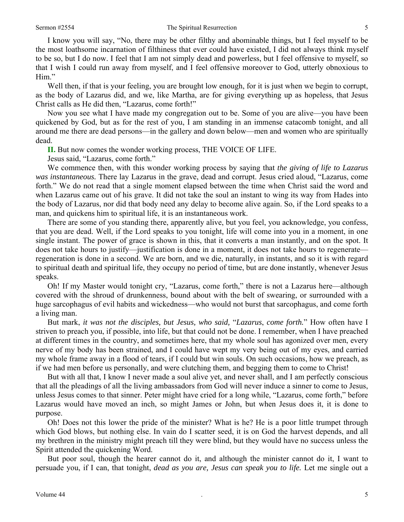## Sermon #2554 **The Spiritual Resurrection** 5

I know you will say, "No, there may be other filthy and abominable things, but I feel myself to be the most loathsome incarnation of filthiness that ever could have existed, I did not always think myself to be so, but I do now. I feel that I am not simply dead and powerless, but I feel offensive to myself, so that I wish I could run away from myself, and I feel offensive moreover to God, utterly obnoxious to Him."

Well then, if that is your feeling, you are brought low enough, for it is just when we begin to corrupt, as the body of Lazarus did, and we, like Martha, are for giving everything up as hopeless, that Jesus Christ calls as He did then, "Lazarus, come forth!"

Now you see what I have made my congregation out to be. Some of you are alive—you have been quickened by God, but as for the rest of you, I am standing in an immense catacomb tonight, and all around me there are dead persons—in the gallery and down below—men and women who are spiritually dead.

**II.** But now comes the wonder working process, THE VOICE OF LIFE.

Jesus said, "Lazarus, come forth."

We commence then, with this wonder working process by saying that *the giving of life to Lazarus was instantaneous.* There lay Lazarus in the grave, dead and corrupt. Jesus cried aloud, "Lazarus, come forth." We do not read that a single moment elapsed between the time when Christ said the word and when Lazarus came out of his grave. It did not take the soul an instant to wing its way from Hades into the body of Lazarus, nor did that body need any delay to become alive again. So, if the Lord speaks to a man, and quickens him to spiritual life, it is an instantaneous work.

There are some of you standing there, apparently alive, but you feel, you acknowledge, you confess, that you are dead. Well, if the Lord speaks to you tonight, life will come into you in a moment, in one single instant. The power of grace is shown in this, that it converts a man instantly, and on the spot. It does not take hours to justify—justification is done in a moment, it does not take hours to regenerate regeneration is done in a second. We are born, and we die, naturally, in instants, and so it is with regard to spiritual death and spiritual life, they occupy no period of time, but are done instantly, whenever Jesus speaks.

Oh! If my Master would tonight cry, "Lazarus, come forth," there is not a Lazarus here—although covered with the shroud of drunkenness, bound about with the belt of swearing, or surrounded with a huge sarcophagus of evil habits and wickedness—who would not burst that sarcophagus, and come forth a living man.

But mark, *it was not the disciples, but Jesus, who said,* "*Lazarus*, *come forth.*" How often have I striven to preach you, if possible, into life, but that could not be done. I remember, when I have preached at different times in the country, and sometimes here, that my whole soul has agonized over men, every nerve of my body has been strained, and I could have wept my very being out of my eyes, and carried my whole frame away in a flood of tears, if I could but win souls. On such occasions, how we preach, as if we had men before us personally, and were clutching them, and begging them to come to Christ!

But with all that, I know I never made a soul alive yet, and never shall, and I am perfectly conscious that all the pleadings of all the living ambassadors from God will never induce a sinner to come to Jesus, unless Jesus comes to that sinner. Peter might have cried for a long while, "Lazarus, come forth," before Lazarus would have moved an inch, so might James or John, but when Jesus does it, it is done to purpose.

Oh! Does not this lower the pride of the minister? What is he? He is a poor little trumpet through which God blows, but nothing else. In vain do I scatter seed, it is on God the harvest depends, and all my brethren in the ministry might preach till they were blind, but they would have no success unless the Spirit attended the quickening Word.

But poor soul, though the hearer cannot do it, and although the minister cannot do it, I want to persuade you, if I can, that tonight, *dead as you are, Jesus can speak you to life.* Let me single out a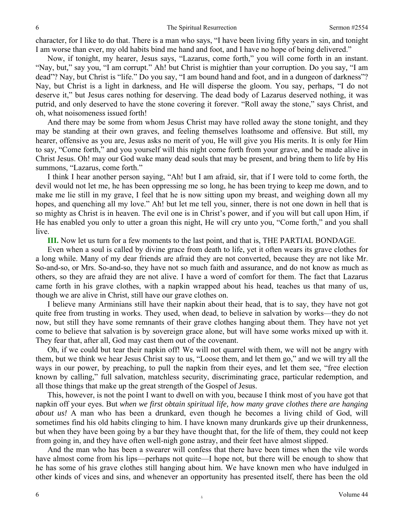character, for I like to do that. There is a man who says, "I have been living fifty years in sin, and tonight I am worse than ever, my old habits bind me hand and foot, and I have no hope of being delivered."

Now, if tonight, my hearer, Jesus says, "Lazarus, come forth," you will come forth in an instant. "Nay, but*,*" say you, "I am corrupt." Ah! but Christ is mightier than your corruption. Do you say*,* "I am dead"? Nay*,* but Christ is "life." Do you say, "I am bound hand and foot, and in a dungeon of darkness"? Nay, but Christ is a light in darkness, and He will disperse the gloom. You say, perhaps, "I do not deserve it," but Jesus cares nothing for deserving. The dead body of Lazarus deserved nothing, it was putrid, and only deserved to have the stone covering it forever. "Roll away the stone," says Christ, and oh, what noisomeness issued forth!

And there may be some from whom Jesus Christ may have rolled away the stone tonight, and they may be standing at their own graves, and feeling themselves loathsome and offensive. But still, my hearer, offensive as you are, Jesus asks no merit of you, He will give you His merits. It is only for Him to say*,* "Come forth," and you yourself will this night come forth from your grave, and be made alive in Christ Jesus. Oh! may our God wake many dead souls that may be present, and bring them to life by His summons, "Lazarus, come forth."

I think I hear another person saying, "Ah! but I am afraid, sir, that if I were told to come forth, the devil would not let me, he has been oppressing me so long, he has been trying to keep me down, and to make me lie still in my grave, I feel that he is now sitting upon my breast, and weighing down all my hopes, and quenching all my love." Ah! but let me tell you, sinner, there is not one down in hell that is so mighty as Christ is in heaven. The evil one is in Christ's power, and if you will but call upon Him, if He has enabled you only to utter a groan this night, He will cry unto you, "Come forth," and you shall live.

**III.** Now let us turn for a few moments to the last point, and that is, THE PARTIAL BONDAGE.

Even when a soul is called by divine grace from death to life, yet it often wears its grave clothes for a long while. Many of my dear friends are afraid they are not converted, because they are not like Mr. So-and-so, or Mrs. So-and-so, they have not so much faith and assurance, and do not know as much as others, so they are afraid they are not alive. I have a word of comfort for them. The fact that Lazarus came forth in his grave clothes, with a napkin wrapped about his head, teaches us that many of us, though we are alive in Christ, still have our grave clothes on.

I believe many Arminians still have their napkin about their head, that is to say, they have not got quite free from trusting in works. They used, when dead, to believe in salvation by works—they do not now, but still they have some remnants of their grave clothes hanging about them. They have not yet come to believe that salvation is by sovereign grace alone, but will have some works mixed up with it. They fear that, after all, God may cast them out of the covenant.

Oh, if we could but tear their napkin off! We will not quarrel with them, we will not be angry with them, but we think we hear Jesus Christ say to us, "Loose them, and let them go," and we will try all the ways in our power, by preaching, to pull the napkin from their eyes, and let them see, "free election known by calling," full salvation, matchless security, discriminating grace, particular redemption, and all those things that make up the great strength of the Gospel of Jesus.

This, however, is not the point I want to dwell on with you, because I think most of you have got that napkin off your eyes. But *when we first obtain spiritual life, how many grave clothes there are hanging about us!* A man who has been a drunkard, even though he becomes a living child of God, will sometimes find his old habits clinging to him. I have known many drunkards give up their drunkenness, but when they have been going by a bar they have thought that, for the life of them, they could not keep from going in, and they have often well-nigh gone astray, and their feet have almost slipped.

And the man who has been a swearer will confess that there have been times when the vile words have almost come from his lips—perhaps not quite—I hope not, but there will be enough to show that he has some of his grave clothes still hanging about him. We have known men who have indulged in other kinds of vices and sins, and whenever an opportunity has presented itself, there has been the old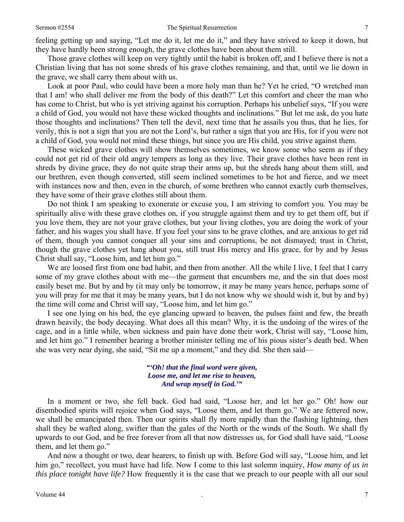feeling getting up and saying, "Let me do it, let me do it," and they have strived to keep it down, but they have hardly been strong enough, the grave clothes have been about them still.

Those grave clothes will keep on very tightly until the habit is broken off, and I believe there is not a Christian living that has not some shreds of his grave clothes remaining, and that, until we lie down in the grave, we shall carry them about with us.

Look at poor Paul, who could have been a more holy man than he? Yet he cried, "O wretched man that I am! who shall deliver me from the body of this death?" Let this comfort and cheer the man who has come to Christ, but who is yet striving against his corruption. Perhaps his unbelief says, "If you were a child of God, you would not have these wicked thoughts and inclinations." But let me ask, do you hate those thoughts and inclinations? Then tell the devil, next time that he assails you thus, that he lies, for verily, this is not a sign that you are not the Lord's, but rather a sign that you are His, for if you were not a child of God, you would not mind these things, but since you are His child, you strive against them.

These wicked grave clothes will show themselves sometimes, we know some who seem as if they could not get rid of their old angry tempers as long as they live. Their grave clothes have been rent in shreds by divine grace, they do not quite strap their arms up, but the shreds hang about them still, and our brethren, even though converted, still seem inclined sometimes to be hot and fierce, and we meet with instances now and then, even in the church, of some brethren who cannot exactly curb themselves, they have some of their grave clothes still about them.

Do not think I am speaking to exonerate or excuse you, I am striving to comfort you. You may be spiritually alive with these grave clothes on, if you struggle against them and try to get them off, but if you love them, they are not your grave clothes, but your living clothes, you are doing the work of your father, and his wages you shall have. If you feel your sins to be grave clothes, and are anxious to get rid of them, though you cannot conquer all your sins and corruptions, be not dismayed; trust in Christ, though the grave clothes yet hang about you, still trust His mercy and His grace, for by and by Jesus Christ shall say, "Loose him, and let him go."

We are loosed first from one bad habit, and then from another. All the while I live, I feel that I carry some of my grave clothes about with me—the garment that encumbers me, and the sin that does most easily beset me. But by and by (it may only be tomorrow, it may be many years hence, perhaps some of you will pray for me that it may be many years, but I do not know why we should wish it, but by and by) the time will come and Christ will say, "Loose him, and let him go."

I see one lying on his bed, the eye glancing upward to heaven, the pulses faint and few, the breath drawn heavily, the body decaying. What does all this mean? Why, it is the undoing of the wires of the cage, and in a little while, when sickness and pain have done their work, Christ will say, "Loose him, and let him go." I remember hearing a brother minister telling me of his pious sister's death bed. When she was very near dying, she said, "Sit me up a moment," and they did. She then said—

> *"'Oh! that the final word were given, Loose me, and let me rise to heaven, And wrap myself in God.'"*

In a moment or two, she fell back. God had said, "Loose her, and let her go." Oh! how our disembodied spirits will rejoice when God says, "Loose them, and let them go." We are fettered now, we shall be emancipated then. Then our spirits shall fly more rapidly than the flashing lightning, then shall they be wafted along, swifter than the gales of the North or the winds of the South. We shall fly upwards to our God, and be free forever from all that now distresses us, for God shall have said, "Loose them, and let them go."

And now a thought or two, dear hearers, to finish up with. Before God will say*,* "Loose him, and let him go," recollect, you must have had life. Now I come to this last solemn inquiry, *How many of us in this place tonight have life?* How frequently it is the case that we preach to our people with all our soul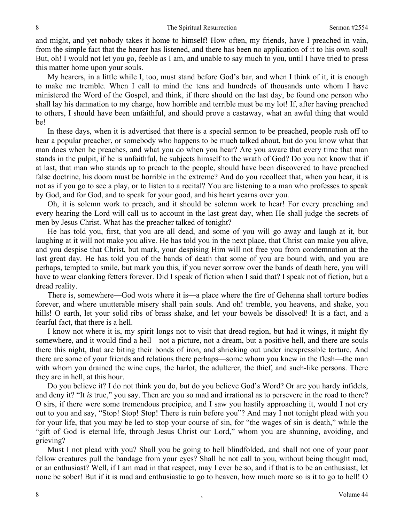and might, and yet nobody takes it home to himself! How often, my friends, have I preached in vain, from the simple fact that the hearer has listened, and there has been no application of it to his own soul! But, oh! I would not let you go, feeble as I am, and unable to say much to you, until I have tried to press this matter home upon your souls.

My hearers, in a little while I, too, must stand before God's bar, and when I think of it, it is enough to make me tremble. When I call to mind the tens and hundreds of thousands unto whom I have ministered the Word of the Gospel, and think, if there should on the last day, be found one person who shall lay his damnation to my charge, how horrible and terrible must be my lot! If, after having preached to others, I should have been unfaithful, and should prove a castaway, what an awful thing that would be!

In these days, when it is advertised that there is a special sermon to be preached, people rush off to hear a popular preacher, or somebody who happens to be much talked about, but do you know what that man does when he preaches, and what you do when you hear? Are you aware that every time that man stands in the pulpit, if he is unfaithful, he subjects himself to the wrath of God? Do you not know that if at last, that man who stands up to preach to the people, should have been discovered to have preached false doctrine, his doom must be horrible in the extreme? And do you recollect that, when you hear, it is not as if you go to see a play, or to listen to a recital? You are listening to a man who professes to speak by God, and for God, and to speak for your good, and his heart yearns over you.

Oh, it is solemn work to preach, and it should be solemn work to hear! For every preaching and every hearing the Lord will call us to account in the last great day, when He shall judge the secrets of men by Jesus Christ. What has the preacher talked of tonight?

He has told you, first, that you are all dead, and some of you will go away and laugh at it, but laughing at it will not make you alive. He has told you in the next place, that Christ can make you alive, and you despise that Christ, but mark, your despising Him will not free you from condemnation at the last great day. He has told you of the bands of death that some of you are bound with, and you are perhaps, tempted to smile, but mark you this, if you never sorrow over the bands of death here, you will have to wear clanking fetters forever. Did I speak of fiction when I said that? I speak not of fiction, but a dread reality.

There is, somewhere—God wots where it is—a place where the fire of Gehenna shall torture bodies forever, and where unutterable misery shall pain souls. And oh! tremble, you heavens, and shake, you hills! O earth, let your solid ribs of brass shake, and let your bowels be dissolved! It is a fact, and a fearful fact, that there is a hell.

I know not where it is, my spirit longs not to visit that dread region, but had it wings, it might fly somewhere, and it would find a hell—not a picture, not a dream, but a positive hell, and there are souls there this night, that are biting their bonds of iron, and shrieking out under inexpressible torture. And there are some of your friends and relations there perhaps—some whom you knew in the flesh—the man with whom you drained the wine cups, the harlot, the adulterer, the thief, and such-like persons. There they are in hell, at this hour.

Do you believe it? I do not think you do, but do you believe God's Word? Or are you hardy infidels, and deny it? "It *is* true," you say. Then are you so mad and irrational as to persevere in the road to there? O sirs, if there were some tremendous precipice, and I saw you hastily approaching it, would I not cry out to you and say, "Stop! Stop! Stop! There is ruin before you"? And may I not tonight plead with you for your life, that you may be led to stop your course of sin, for "the wages of sin is death," while the "gift of God is eternal life, through Jesus Christ our Lord," whom you are shunning, avoiding, and grieving?

Must I not plead with you? Shall you be going to hell blindfolded, and shall not one of your poor fellow creatures pull the bandage from your eyes? Shall he not call to you, without being thought mad, or an enthusiast? Well, if I am mad in that respect, may I ever be so, and if that is to be an enthusiast, let none be sober! But if it is mad and enthusiastic to go to heaven, how much more so is it to go to hell! O